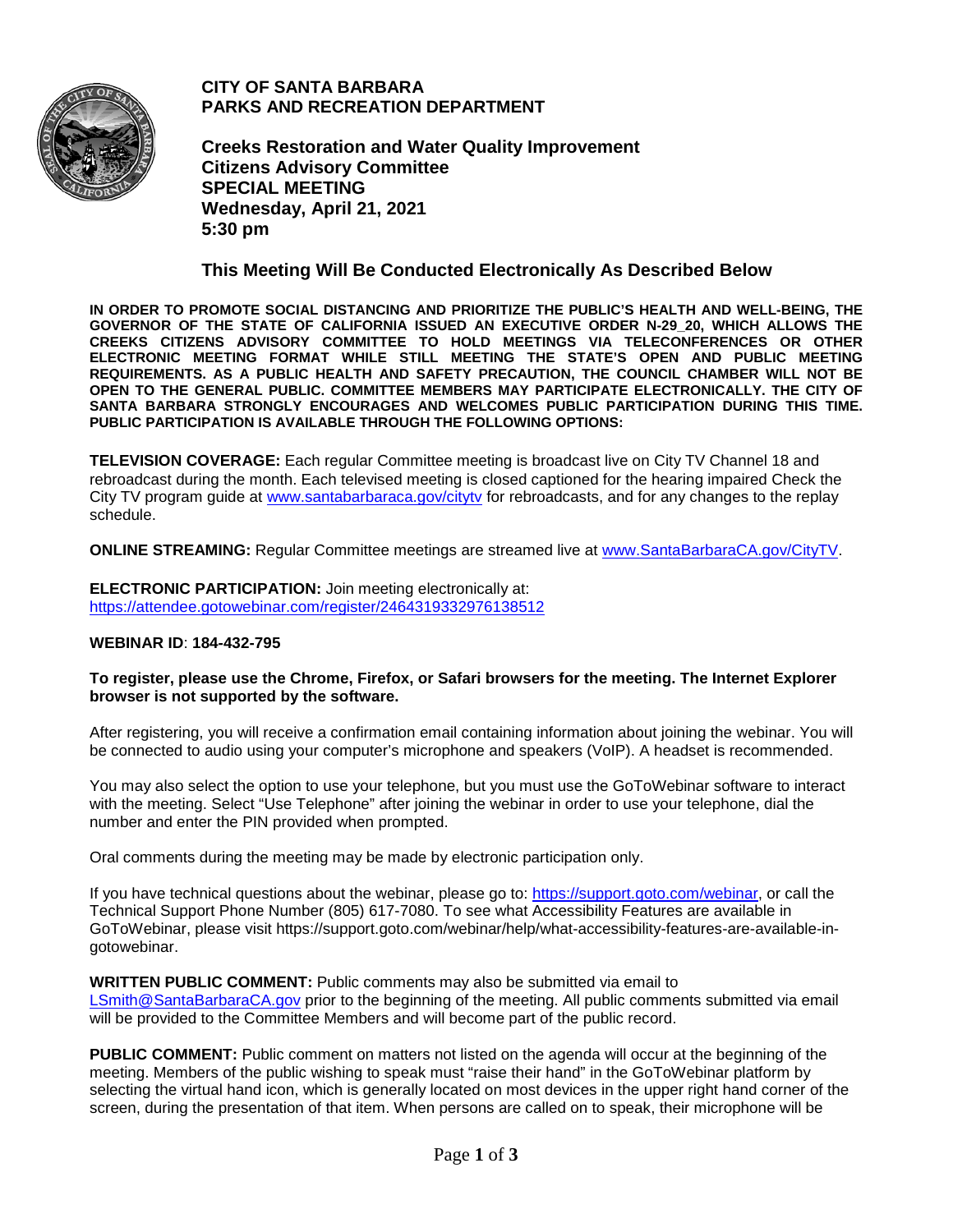

**CITY OF SANTA BARBARA PARKS AND RECREATION DEPARTMENT**

**Creeks Restoration and Water Quality Improvement Citizens Advisory Committee SPECIAL MEETING Wednesday, April 21, 2021 5:30 pm**

#### **This Meeting Will Be Conducted Electronically As Described Below**

**IN ORDER TO PROMOTE SOCIAL DISTANCING AND PRIORITIZE THE PUBLIC'S HEALTH AND WELL-BEING, THE GOVERNOR OF THE STATE OF CALIFORNIA ISSUED AN EXECUTIVE ORDER N-29\_20, WHICH ALLOWS THE CREEKS CITIZENS ADVISORY COMMITTEE TO HOLD MEETINGS VIA TELECONFERENCES OR OTHER ELECTRONIC MEETING FORMAT WHILE STILL MEETING THE STATE'S OPEN AND PUBLIC MEETING REQUIREMENTS. AS A PUBLIC HEALTH AND SAFETY PRECAUTION, THE COUNCIL CHAMBER WILL NOT BE OPEN TO THE GENERAL PUBLIC. COMMITTEE MEMBERS MAY PARTICIPATE ELECTRONICALLY. THE CITY OF SANTA BARBARA STRONGLY ENCOURAGES AND WELCOMES PUBLIC PARTICIPATION DURING THIS TIME. PUBLIC PARTICIPATION IS AVAILABLE THROUGH THE FOLLOWING OPTIONS:**

**TELEVISION COVERAGE:** Each regular Committee meeting is broadcast live on City TV Channel 18 and rebroadcast during the month. Each televised meeting is closed captioned for the hearing impaired Check the City TV program guide at [www.santabarbaraca.gov/citytv](http://www.santabarbaraca.gov/citytv) for rebroadcasts, and for any changes to the replay schedule.

**ONLINE STREAMING:** Regular Committee meetings are streamed live at [www.SantaBarbaraCA.gov/CityTV.](http://www.santabarbaraca.gov/CityTV)

**ELECTRONIC PARTICIPATION:** Join meeting electronically at: <https://attendee.gotowebinar.com/register/2464319332976138512>

#### **WEBINAR ID**: **184-432-795**

#### **To register, please use the Chrome, Firefox, or Safari browsers for the meeting. The Internet Explorer browser is not supported by the software.**

After registering, you will receive a confirmation email containing information about joining the webinar. You will be connected to audio using your computer's microphone and speakers (VoIP). A headset is recommended.

You may also select the option to use your telephone, but you must use the GoToWebinar software to interact with the meeting. Select "Use Telephone" after joining the webinar in order to use your telephone, dial the number and enter the PIN provided when prompted.

Oral comments during the meeting may be made by electronic participation only.

If you have technical questions about the webinar, please go to: [https://support.goto.com/webinar,](https://support.goto.com/webinar) or call the Technical Support Phone Number (805) 617-7080. To see what Accessibility Features are available in GoToWebinar, please visit https://support.goto.com/webinar/help/what-accessibility-features-are-available-ingotowebinar.

**WRITTEN PUBLIC COMMENT:** Public comments may also be submitted via email to [LSmith@SantaBarbaraCA.gov](mailto:LSmith@SantaBarbaraCA.gov) prior to the beginning of the meeting. All public comments submitted via email will be provided to the Committee Members and will become part of the public record.

**PUBLIC COMMENT:** Public comment on matters not listed on the agenda will occur at the beginning of the meeting. Members of the public wishing to speak must "raise their hand" in the GoToWebinar platform by selecting the virtual hand icon, which is generally located on most devices in the upper right hand corner of the screen, during the presentation of that item. When persons are called on to speak, their microphone will be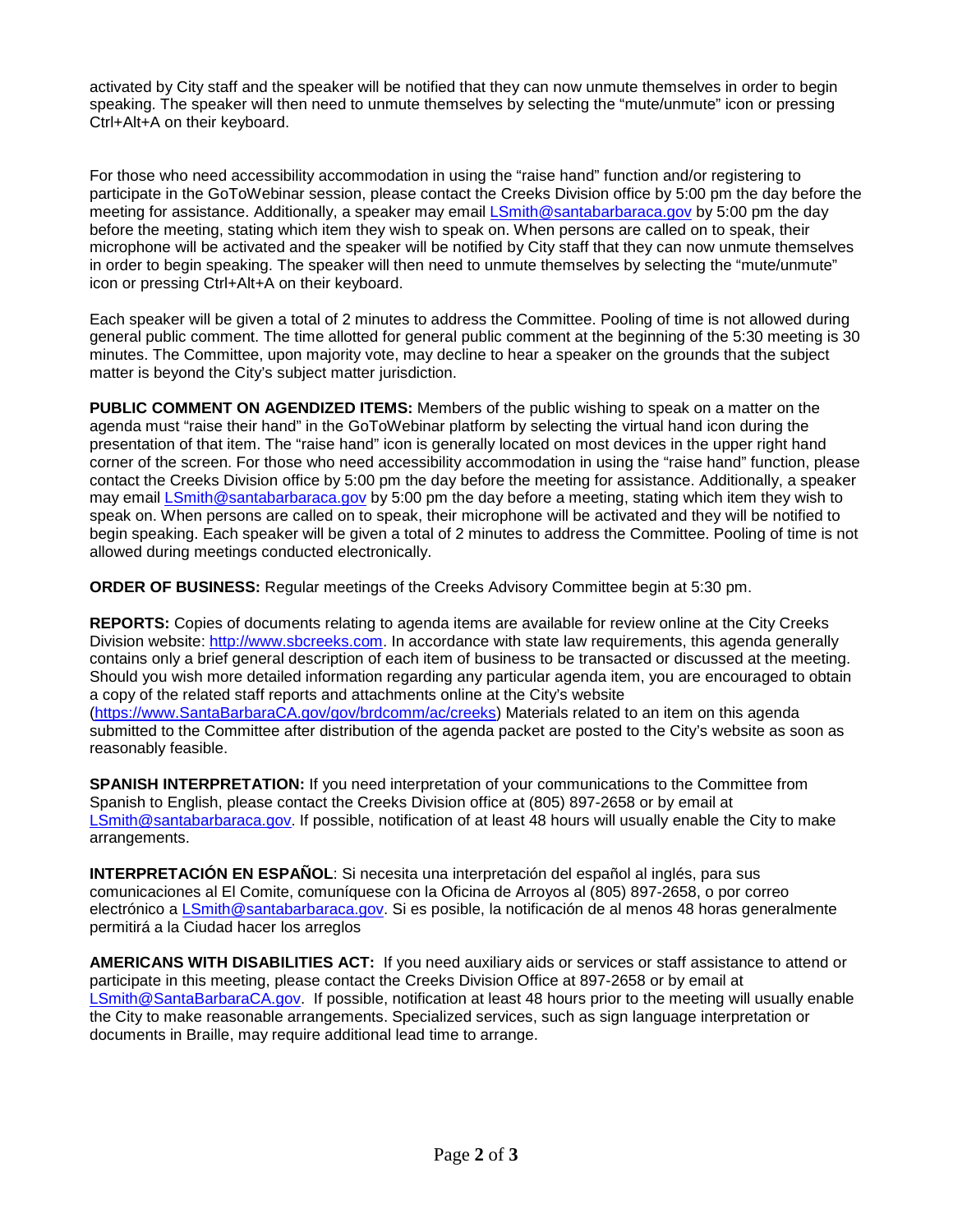activated by City staff and the speaker will be notified that they can now unmute themselves in order to begin speaking. The speaker will then need to unmute themselves by selecting the "mute/unmute" icon or pressing Ctrl+Alt+A on their keyboard.

For those who need accessibility accommodation in using the "raise hand" function and/or registering to participate in the GoToWebinar session, please contact the Creeks Division office by 5:00 pm the day before the meeting for assistance. Additionally, a speaker may email [LSmith@santabarbaraca.gov](mailto:LSmith@santabarbaraca.gov) by 5:00 pm the day before the meeting, stating which item they wish to speak on. When persons are called on to speak, their microphone will be activated and the speaker will be notified by City staff that they can now unmute themselves in order to begin speaking. The speaker will then need to unmute themselves by selecting the "mute/unmute" icon or pressing Ctrl+Alt+A on their keyboard.

Each speaker will be given a total of 2 minutes to address the Committee. Pooling of time is not allowed during general public comment. The time allotted for general public comment at the beginning of the 5:30 meeting is 30 minutes. The Committee, upon majority vote, may decline to hear a speaker on the grounds that the subject matter is beyond the City's subject matter jurisdiction.

**PUBLIC COMMENT ON AGENDIZED ITEMS:** Members of the public wishing to speak on a matter on the agenda must "raise their hand" in the GoToWebinar platform by selecting the virtual hand icon during the presentation of that item. The "raise hand" icon is generally located on most devices in the upper right hand corner of the screen. For those who need accessibility accommodation in using the "raise hand" function, please contact the Creeks Division office by 5:00 pm the day before the meeting for assistance. Additionally, a speaker may email [LSmith@santabarbaraca.gov](mailto:LSmith@santabarbaraca.gov) by 5:00 pm the day before a meeting, stating which item they wish to speak on. When persons are called on to speak, their microphone will be activated and they will be notified to begin speaking. Each speaker will be given a total of 2 minutes to address the Committee. Pooling of time is not allowed during meetings conducted electronically.

**ORDER OF BUSINESS:** Regular meetings of the Creeks Advisory Committee begin at 5:30 pm.

**REPORTS:** Copies of documents relating to agenda items are available for review online at the City Creeks Division website: [http://www.sbcreeks.com.](http://www.sbcreeks.com/) In accordance with state law requirements, this agenda generally contains only a brief general description of each item of business to be transacted or discussed at the meeting. Should you wish more detailed information regarding any particular agenda item, you are encouraged to obtain a copy of the related staff reports and attachments online at the City's website [\(https://www.SantaBarbaraCA.gov/gov/brdcomm/ac/creeks\)](https://www.santabarbaraca.gov/gov/brdcomm/ac/creeks) Materials related to an item on this agenda submitted to the Committee after distribution of the agenda packet are posted to the City's website as soon as reasonably feasible.

**SPANISH INTERPRETATION:** If you need interpretation of your communications to the Committee from Spanish to English, please contact the Creeks Division office at (805) 897-2658 or by email at [LSmith@santabarbaraca.gov.](mailto:LSmith@santabarbaraca.gov) If possible, notification of at least 48 hours will usually enable the City to make arrangements.

**INTERPRETACIÓN EN ESPAÑOL**: Si necesita una interpretación del español al inglés, para sus comunicaciones al El Comite, comuníquese con la Oficina de Arroyos al (805) 897-2658, o por correo electrónico a [LSmith@santabarbaraca.gov.](mailto:LSmith@santabarbaraca.gov) Si es posible, la notificación de al menos 48 horas generalmente permitirá a la Ciudad hacer los arreglos

**AMERICANS WITH DISABILITIES ACT:** If you need auxiliary aids or services or staff assistance to attend or participate in this meeting, please contact the Creeks Division Office at 897-2658 or by email at [LSmith@SantaBarbaraCA.gov.](mailto:LSmith@SantaBarbaraCA.gov) If possible, notification at least 48 hours prior to the meeting will usually enable the City to make reasonable arrangements. Specialized services, such as sign language interpretation or documents in Braille, may require additional lead time to arrange.